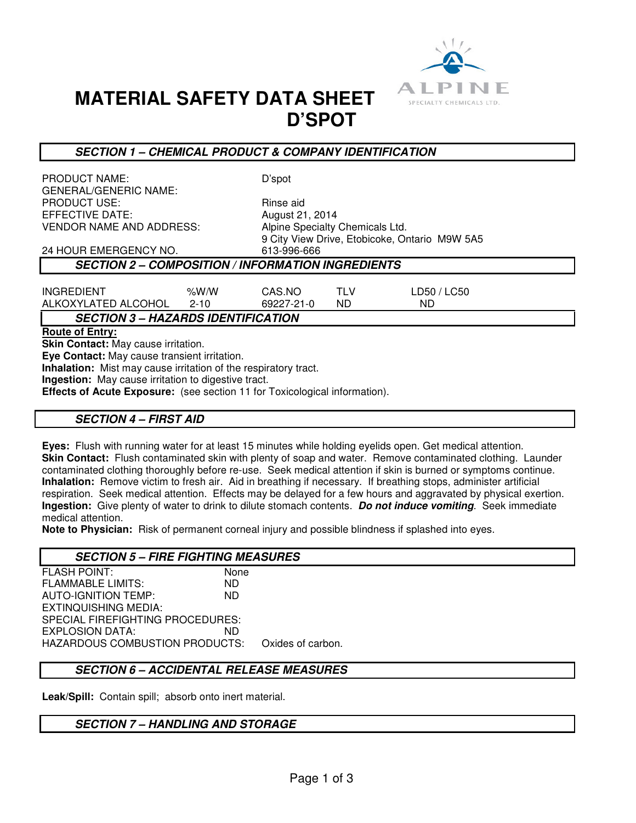

# **MATERIAL SAFETY DATA SHEET D'SPOT**

### **SECTION 1 – CHEMICAL PRODUCT & COMPANY IDENTIFICATION**

PRODUCT NAME: D'spot GENERAL/GENERIC NAME: PRODUCT USE:<br>EFFECTIVE DATE: The Solution of August 21, 2014 EFFECTIVE DATE: VENDOR NAME AND ADDRESS: Alpine Specialty Chemicals Ltd.

9 City View Drive, Etobicoke, Ontario M9W 5A5

#### 24 HOUR EMERGENCY NO. **SECTION 2 – COMPOSITION / INFORMATION INGREDIENTS**

| INGREDIENT          | %W/W | CAS.NO     |    | LD50 / LC50 |
|---------------------|------|------------|----|-------------|
| ALKOXYLATED ALCOHOL | 2-10 | 69227-21-0 | ND | <b>ND</b>   |

## **SECTION 3 – HAZARDS IDENTIFICATION**

**Route of Entry:** 

**Skin Contact:** May cause irritation.

**Eye Contact:** May cause transient irritation.

**Inhalation:** Mist may cause irritation of the respiratory tract.

**Ingestion:** May cause irritation to digestive tract.

**Effects of Acute Exposure:** (see section 11 for Toxicological information).

#### **SECTION 4 – FIRST AID**

**Eyes:** Flush with running water for at least 15 minutes while holding eyelids open. Get medical attention. **Skin Contact:** Flush contaminated skin with plenty of soap and water. Remove contaminated clothing. Launder contaminated clothing thoroughly before re-use. Seek medical attention if skin is burned or symptoms continue. **Inhalation:** Remove victim to fresh air. Aid in breathing if necessary. If breathing stops, administer artificial respiration. Seek medical attention. Effects may be delayed for a few hours and aggravated by physical exertion. **Ingestion:** Give plenty of water to drink to dilute stomach contents. **Do not induce vomiting**. Seek immediate medical attention.

**Note to Physician:** Risk of permanent corneal injury and possible blindness if splashed into eyes.

#### **SECTION 5 – FIRE FIGHTING MEASURES**

FLASH POINT: None FLAMMABLE LIMITS: ND AUTO-IGNITION TEMP: ND EXTINQUISHING MEDIA: SPECIAL FIREFIGHTING PROCEDURES: EXPLOSION DATA: ND HAZARDOUS COMBUSTION PRODUCTS: Oxides of carbon.

#### **SECTION 6 – ACCIDENTAL RELEASE MEASURES**

**Leak/Spill:** Contain spill; absorb onto inert material.

#### **SECTION 7 – HANDLING AND STORAGE**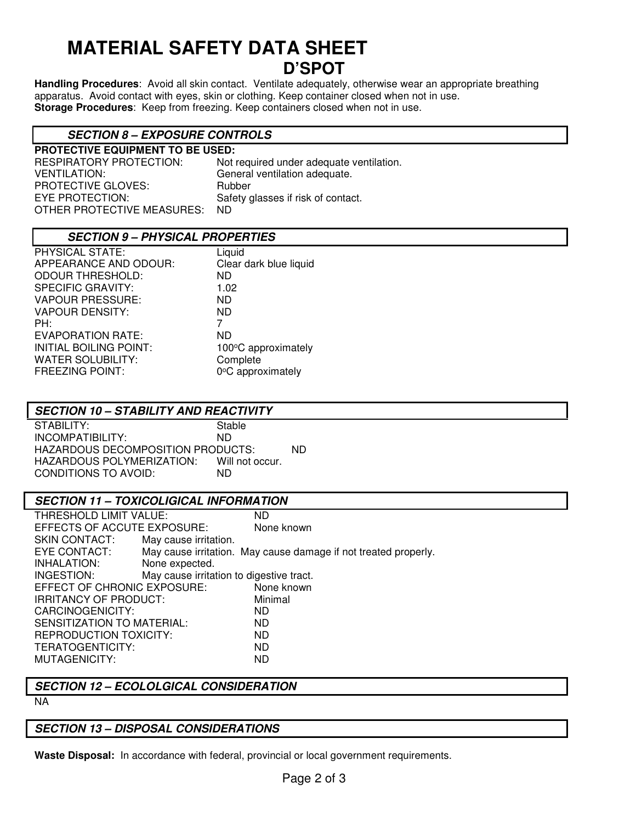## **MATERIAL SAFETY DATA SHEET D'SPOT**

**Handling Procedures**: Avoid all skin contact. Ventilate adequately, otherwise wear an appropriate breathing apparatus. Avoid contact with eyes, skin or clothing. Keep container closed when not in use. **Storage Procedures**: Keep from freezing. Keep containers closed when not in use.

## **SECTION 8 – EXPOSURE CONTROLS**

**PROTECTIVE EQUIPMENT TO BE USED:**  RESPIRATORY PROTECTION: Not required under adequate ventilation. VENTILATION: General ventilation adequate. PROTECTIVE GLOVES: Rubber EYE PROTECTION: Safety glasses if risk of contact. OTHER PROTECTIVE MEASURES: ND

### **SECTION 9 – PHYSICAL PROPERTIES**

| PHYSICAL STATE:          | Liquid                 |
|--------------------------|------------------------|
| APPEARANCE AND ODOUR:    | Clear dark blue liquid |
| <b>ODOUR THRESHOLD:</b>  | <b>ND</b>              |
| <b>SPECIFIC GRAVITY:</b> | 1.02                   |
| <b>VAPOUR PRESSURE:</b>  | ND.                    |
| <b>VAPOUR DENSITY:</b>   | <b>ND</b>              |
| PH:                      | 7                      |
| <b>EVAPORATION RATE:</b> | <b>ND</b>              |
| INITIAL BOILING POINT:   | 100°C approximately    |
| <b>WATER SOLUBILITY:</b> | Complete               |
| <b>FREEZING POINT:</b>   | 0°C approximately      |
|                          |                        |

#### **SECTION 10 – STABILITY AND REACTIVITY**

STABILITY: Stable<br>INCOMPATIBILITY: ND INCOMPATIBILITY: HAZARDOUS DECOMPOSITION PRODUCTS: ND HAZARDOUS POLYMERIZATION: Will not occur. CONDITIONS TO AVOID: ND

#### **SECTION 11 – TOXICOLIGICAL INFORMATION**

| THRESHOLD LIMIT VALUE:                   | ND                                                              |
|------------------------------------------|-----------------------------------------------------------------|
| EFFECTS OF ACCUTE EXPOSURE:              | None known                                                      |
| May cause irritation.                    |                                                                 |
|                                          | May cause irritation. May cause damage if not treated properly. |
| None expected.                           |                                                                 |
| May cause irritation to digestive tract. |                                                                 |
| EFFECT OF CHRONIC EXPOSURE:              | None known                                                      |
| <b>IRRITANCY OF PRODUCT:</b>             | Minimal                                                         |
|                                          | ND.                                                             |
| SENSITIZATION TO MATERIAL:               | ND.                                                             |
| <b>REPRODUCTION TOXICITY:</b>            | ND                                                              |
|                                          | <b>ND</b>                                                       |
|                                          | <b>ND</b>                                                       |
|                                          |                                                                 |

#### **SECTION 12 – ECOLOLGICAL CONSIDERATION**

NA

## **SECTION 13 – DISPOSAL CONSIDERATIONS**

**Waste Disposal:** In accordance with federal, provincial or local government requirements.